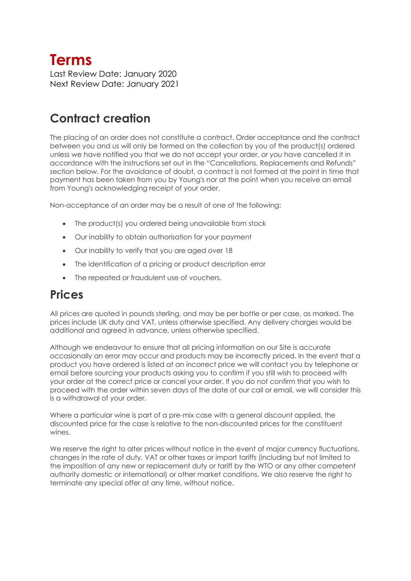# **Terms**

Last Review Date: January 2020 Next Review Date: January 2021

# **Contract creation**

The placing of an order does not constitute a contract. Order acceptance and the contract between you and us will only be formed on the collection by you of the product(s) ordered unless we have notified you that we do not accept your order, or you have cancelled it in accordance with the instructions set out in the "Cancellations, Replacements and Refunds" section below. For the avoidance of doubt, a contract is not formed at the point in time that payment has been taken from you by Young's nor at the point when you receive an email from Young's acknowledging receipt of your order.

Non-acceptance of an order may be a result of one of the following:

- The product(s) you ordered being unavailable from stock
- Our inability to obtain authorisation for your payment
- Our inability to verify that you are aged over 18
- The identification of a pricing or product description error
- The repeated or fraudulent use of vouchers.

#### **Prices**

All prices are quoted in pounds sterling, and may be per bottle or per case, as marked. The prices include UK duty and VAT, unless otherwise specified. Any delivery charges would be additional and agreed in advance, unless otherwise specified.

Although we endeavour to ensure that all pricing information on our Site is accurate occasionally an error may occur and products may be incorrectly priced. In the event that a product you have ordered is listed at an incorrect price we will contact you by telephone or email before sourcing your products asking you to confirm if you still wish to proceed with your order at the correct price or cancel your order. If you do not confirm that you wish to proceed with the order within seven days of the date of our call or email, we will consider this is a withdrawal of your order.

Where a particular wine is part of a pre-mix case with a general discount applied, the discounted price for the case is relative to the non-discounted prices for the constituent wines.

We reserve the right to alter prices without notice in the event of major currency fluctuations, changes in the rate of duty, VAT or other taxes or import tariffs (including but not limited to the imposition of any new or replacement duty or tariff by the WTO or any other competent authority domestic or international) or other market conditions. We also reserve the right to terminate any special offer at any time, without notice.